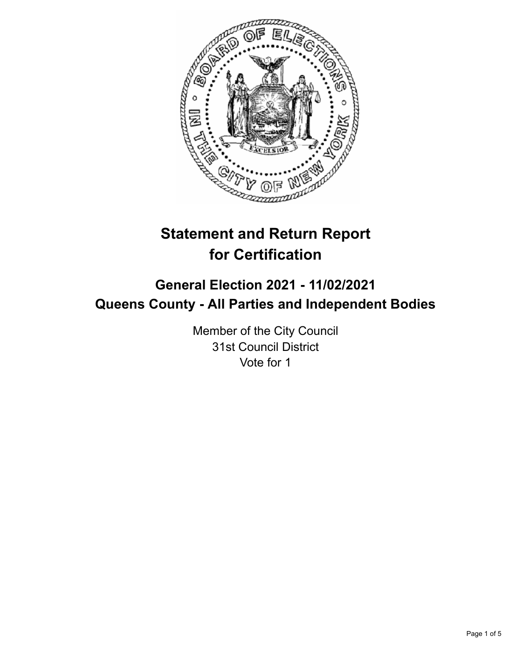

# **Statement and Return Report for Certification**

# **General Election 2021 - 11/02/2021 Queens County - All Parties and Independent Bodies**

Member of the City Council 31st Council District Vote for 1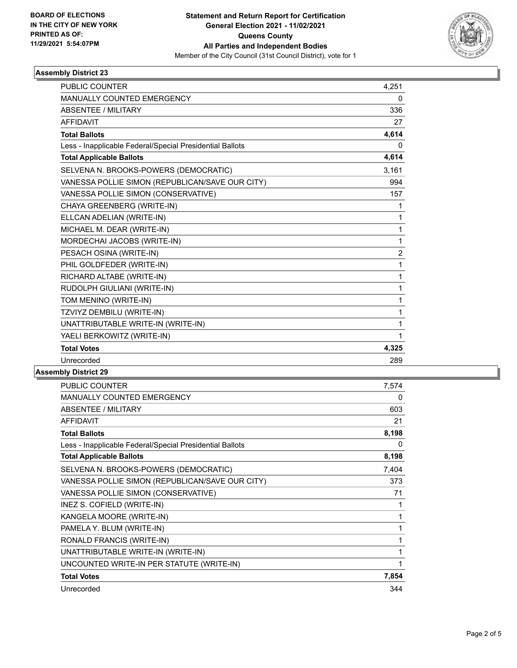

# **Assembly District 23**

| <b>PUBLIC COUNTER</b>                                    | 4,251 |
|----------------------------------------------------------|-------|
| <b>MANUALLY COUNTED EMERGENCY</b>                        | 0     |
| ABSENTEE / MILITARY                                      | 336   |
| <b>AFFIDAVIT</b>                                         | 27    |
| <b>Total Ballots</b>                                     | 4,614 |
| Less - Inapplicable Federal/Special Presidential Ballots | 0     |
| <b>Total Applicable Ballots</b>                          | 4,614 |
| SELVENA N. BROOKS-POWERS (DEMOCRATIC)                    | 3,161 |
| VANESSA POLLIE SIMON (REPUBLICAN/SAVE OUR CITY)          | 994   |
| VANESSA POLLIE SIMON (CONSERVATIVE)                      | 157   |
| CHAYA GREENBERG (WRITE-IN)                               | 1     |
| ELLCAN ADELIAN (WRITE-IN)                                | 1     |
| MICHAEL M. DEAR (WRITE-IN)                               | 1     |
| MORDECHAI JACOBS (WRITE-IN)                              | 1     |
| PESACH OSINA (WRITE-IN)                                  | 2     |
| PHIL GOLDFEDER (WRITE-IN)                                | 1     |
| RICHARD ALTABE (WRITE-IN)                                | 1     |
| RUDOLPH GIULIANI (WRITE-IN)                              | 1     |
| TOM MENINO (WRITE-IN)                                    | 1     |
| TZVIYZ DEMBILU (WRITE-IN)                                | 1     |
| UNATTRIBUTABLE WRITE-IN (WRITE-IN)                       | 1     |
| YAELI BERKOWITZ (WRITE-IN)                               | 1     |
| <b>Total Votes</b>                                       | 4,325 |
| Unrecorded                                               | 289   |

# **Assembly District 29**

| <b>MANUALLY COUNTED EMERGENCY</b><br>ABSENTEE / MILITARY | 0<br>603<br>21 |
|----------------------------------------------------------|----------------|
|                                                          |                |
|                                                          |                |
| <b>AFFIDAVIT</b>                                         |                |
| <b>Total Ballots</b>                                     | 8,198          |
| Less - Inapplicable Federal/Special Presidential Ballots | 0              |
| <b>Total Applicable Ballots</b>                          | 8,198          |
| SELVENA N. BROOKS-POWERS (DEMOCRATIC)                    | 7,404          |
| VANESSA POLLIE SIMON (REPUBLICAN/SAVE OUR CITY)          | 373            |
| VANESSA POLLIE SIMON (CONSERVATIVE)                      | 71             |
| INEZ S. COFIELD (WRITE-IN)                               | 1              |
| KANGELA MOORE (WRITE-IN)                                 | 1              |
| PAMELA Y. BLUM (WRITE-IN)                                | 1              |
| RONALD FRANCIS (WRITE-IN)                                | 1              |
| UNATTRIBUTABLE WRITE-IN (WRITE-IN)                       | 1              |
| UNCOUNTED WRITE-IN PER STATUTE (WRITE-IN)                | 1              |
| <b>Total Votes</b>                                       | 7,854          |
| Unrecorded                                               | 344            |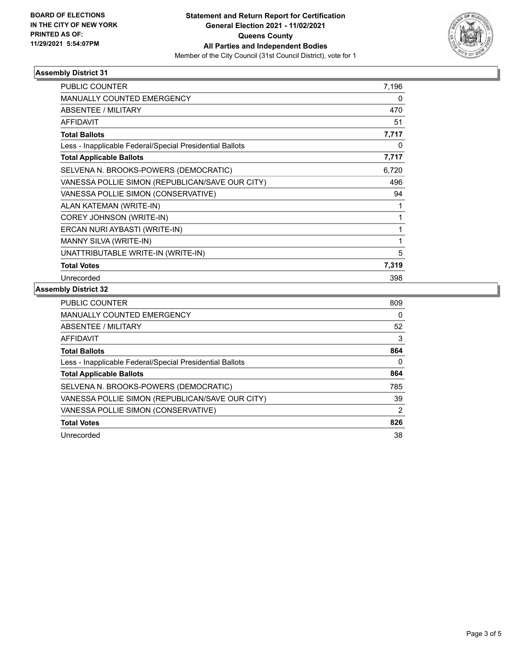

# **Assembly District 31**

| <b>PUBLIC COUNTER</b>                                    | 7,196 |
|----------------------------------------------------------|-------|
| <b>MANUALLY COUNTED EMERGENCY</b>                        | 0     |
| ABSENTEE / MILITARY                                      | 470   |
| <b>AFFIDAVIT</b>                                         | 51    |
| <b>Total Ballots</b>                                     | 7,717 |
| Less - Inapplicable Federal/Special Presidential Ballots | 0     |
| <b>Total Applicable Ballots</b>                          | 7,717 |
| SELVENA N. BROOKS-POWERS (DEMOCRATIC)                    | 6,720 |
| VANESSA POLLIE SIMON (REPUBLICAN/SAVE OUR CITY)          | 496   |
| VANESSA POLLIE SIMON (CONSERVATIVE)                      | 94    |
| ALAN KATEMAN (WRITE-IN)                                  | 1     |
| COREY JOHNSON (WRITE-IN)                                 | 1     |
| ERCAN NURI AYBASTI (WRITE-IN)                            | 1     |
| MANNY SILVA (WRITE-IN)                                   | 1     |
| UNATTRIBUTABLE WRITE-IN (WRITE-IN)                       | 5     |
| <b>Total Votes</b>                                       | 7,319 |
| Unrecorded                                               | 398   |

#### **Assembly District 32**

| <b>PUBLIC COUNTER</b>                                    | 809            |
|----------------------------------------------------------|----------------|
| <b>MANUALLY COUNTED EMERGENCY</b>                        | 0              |
| ABSENTEE / MILITARY                                      | 52             |
| <b>AFFIDAVIT</b>                                         | 3              |
| <b>Total Ballots</b>                                     | 864            |
| Less - Inapplicable Federal/Special Presidential Ballots | 0              |
| <b>Total Applicable Ballots</b>                          | 864            |
| SELVENA N. BROOKS-POWERS (DEMOCRATIC)                    | 785            |
| VANESSA POLLIE SIMON (REPUBLICAN/SAVE OUR CITY)          | 39             |
| VANESSA POLLIE SIMON (CONSERVATIVE)                      | $\overline{2}$ |
| <b>Total Votes</b>                                       | 826            |
| Unrecorded                                               | 38             |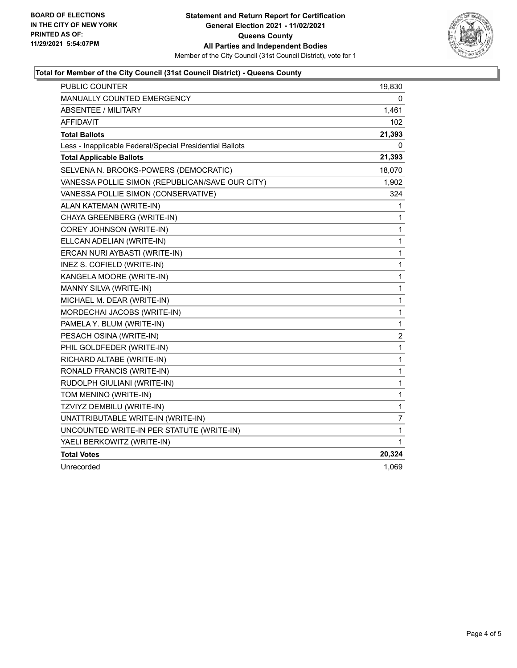

# **Total for Member of the City Council (31st Council District) - Queens County**

| PUBLIC COUNTER                                           | 19,830                  |
|----------------------------------------------------------|-------------------------|
| <b>MANUALLY COUNTED EMERGENCY</b>                        | 0                       |
| <b>ABSENTEE / MILITARY</b>                               | 1,461                   |
| AFFIDAVIT                                                | 102                     |
| <b>Total Ballots</b>                                     | 21,393                  |
| Less - Inapplicable Federal/Special Presidential Ballots | 0                       |
| <b>Total Applicable Ballots</b>                          | 21,393                  |
| SELVENA N. BROOKS-POWERS (DEMOCRATIC)                    | 18,070                  |
| VANESSA POLLIE SIMON (REPUBLICAN/SAVE OUR CITY)          | 1,902                   |
| VANESSA POLLIE SIMON (CONSERVATIVE)                      | 324                     |
| ALAN KATEMAN (WRITE-IN)                                  | 1                       |
| CHAYA GREENBERG (WRITE-IN)                               | 1                       |
| COREY JOHNSON (WRITE-IN)                                 | 1                       |
| ELLCAN ADELIAN (WRITE-IN)                                | 1                       |
| ERCAN NURI AYBASTI (WRITE-IN)                            | 1                       |
| INEZ S. COFIELD (WRITE-IN)                               | 1                       |
| KANGELA MOORE (WRITE-IN)                                 | 1                       |
| MANNY SILVA (WRITE-IN)                                   | 1                       |
| MICHAEL M. DEAR (WRITE-IN)                               | 1                       |
| MORDECHAI JACOBS (WRITE-IN)                              | 1                       |
| PAMELA Y. BLUM (WRITE-IN)                                | 1                       |
| PESACH OSINA (WRITE-IN)                                  | $\overline{\mathbf{c}}$ |
| PHIL GOLDFEDER (WRITE-IN)                                | 1                       |
| RICHARD ALTABE (WRITE-IN)                                | 1                       |
| RONALD FRANCIS (WRITE-IN)                                | 1                       |
| RUDOLPH GIULIANI (WRITE-IN)                              | 1                       |
| TOM MENINO (WRITE-IN)                                    | 1                       |
| TZVIYZ DEMBILU (WRITE-IN)                                | 1                       |
| UNATTRIBUTABLE WRITE-IN (WRITE-IN)                       | 7                       |
| UNCOUNTED WRITE-IN PER STATUTE (WRITE-IN)                | 1                       |
| YAELI BERKOWITZ (WRITE-IN)                               | 1                       |
| <b>Total Votes</b>                                       | 20,324                  |
| Unrecorded                                               | 1,069                   |